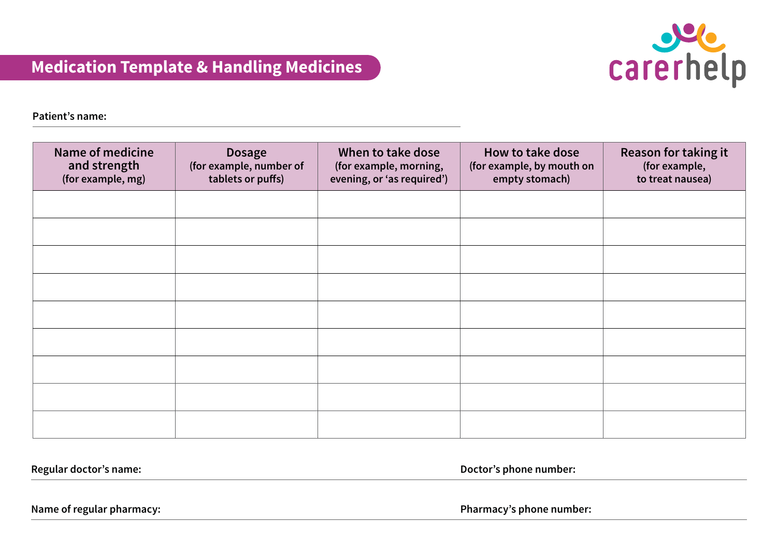

**Patient's name:**

| <b>Name of medicine</b><br>and strength<br>(for example, mg) | <b>Dosage</b><br>(for example, number of<br>tablets or puffs) | When to take dose<br>(for example, morning,<br>evening, or 'as required') | How to take dose<br>(for example, by mouth on<br>empty stomach) | <b>Reason for taking it</b><br>(for example,<br>to treat nausea) |
|--------------------------------------------------------------|---------------------------------------------------------------|---------------------------------------------------------------------------|-----------------------------------------------------------------|------------------------------------------------------------------|
|                                                              |                                                               |                                                                           |                                                                 |                                                                  |
|                                                              |                                                               |                                                                           |                                                                 |                                                                  |
|                                                              |                                                               |                                                                           |                                                                 |                                                                  |
|                                                              |                                                               |                                                                           |                                                                 |                                                                  |
|                                                              |                                                               |                                                                           |                                                                 |                                                                  |
|                                                              |                                                               |                                                                           |                                                                 |                                                                  |
|                                                              |                                                               |                                                                           |                                                                 |                                                                  |
|                                                              |                                                               |                                                                           |                                                                 |                                                                  |
|                                                              |                                                               |                                                                           |                                                                 |                                                                  |

**Regular doctor's name: Doctor's phone number:**

**Name of regular pharmacy: Pharmacy's phone number:**